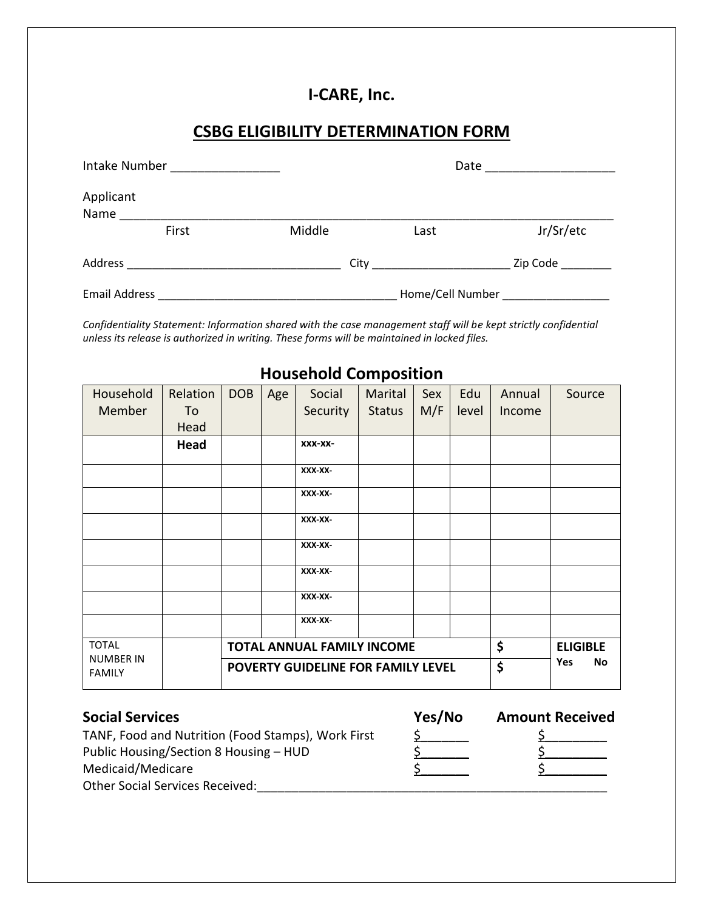## **I-CARE, Inc.**

## **CSBG ELIGIBILITY DETERMINATION FORM**

| Intake Number        |       |        | Date             |           |  |  |
|----------------------|-------|--------|------------------|-----------|--|--|
| Applicant<br>Name    |       |        |                  |           |  |  |
|                      | First | Middle | Last             | Jr/Sr/etc |  |  |
| Address              |       |        |                  | Zip Code  |  |  |
| <b>Email Address</b> |       |        | Home/Cell Number |           |  |  |

*Confidentiality Statement: Information shared with the case management staff will be kept strictly confidential unless its release is authorized in writing. These forms will be maintained in locked files.*

## Household Member Relation To Head  $DOB | Age | Social$ **Security** Marital Status Sex M/F Edu level Annual Income Source **Head xxx-xx-XXX-XX-XXX-XX-XXX-XX-XXX-XX-XXX-XX-XXX-XX-XXX-XX-**TOTAL NUMBER IN FAMILY **TOTAL ANNUAL FAMILY INCOME \$ ELIGIBLE POVERTY GUIDELINE FOR FAMILY LEVEL**  $\left|\frac{1}{2}\right|$  Yes No

## **Household Composition**

| <b>SOCIAL SETVICES</b>                             | 1657 IVO | Amount Receive |
|----------------------------------------------------|----------|----------------|
| TANF, Food and Nutrition (Food Stamps), Work First |          |                |
| Public Housing/Section 8 Housing – HUD             |          |                |

| <b>Social Services</b>                             | Yes/No | <b>Amount Received</b> |
|----------------------------------------------------|--------|------------------------|
| TANF, Food and Nutrition (Food Stamps), Work First |        |                        |
| Public Housing/Section 8 Housing – HUD             |        |                        |
| Medicaid/Medicare                                  |        |                        |
|                                                    |        |                        |

Medicaid/Medicare Other Social Services Received: